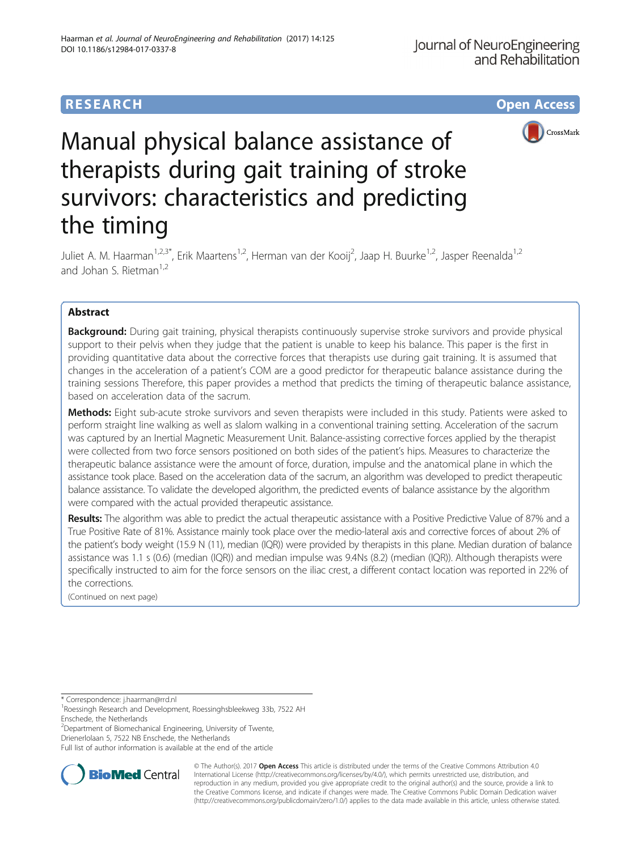## **RESEARCH CHE Open Access**



# Manual physical balance assistance of therapists during gait training of stroke survivors: characteristics and predicting the timing

Juliet A. M. Haarman<sup>1,2,3\*</sup>, Erik Maartens<sup>1,2</sup>, Herman van der Kooij<sup>2</sup>, Jaap H. Buurke<sup>1,2</sup>, Jasper Reenalda<sup>1,2</sup> and Johan S. Rietman<sup>1,2</sup>

## Abstract

Background: During gait training, physical therapists continuously supervise stroke survivors and provide physical support to their pelvis when they judge that the patient is unable to keep his balance. This paper is the first in providing quantitative data about the corrective forces that therapists use during gait training. It is assumed that changes in the acceleration of a patient's COM are a good predictor for therapeutic balance assistance during the training sessions Therefore, this paper provides a method that predicts the timing of therapeutic balance assistance, based on acceleration data of the sacrum.

Methods: Eight sub-acute stroke survivors and seven therapists were included in this study. Patients were asked to perform straight line walking as well as slalom walking in a conventional training setting. Acceleration of the sacrum was captured by an Inertial Magnetic Measurement Unit. Balance-assisting corrective forces applied by the therapist were collected from two force sensors positioned on both sides of the patient's hips. Measures to characterize the therapeutic balance assistance were the amount of force, duration, impulse and the anatomical plane in which the assistance took place. Based on the acceleration data of the sacrum, an algorithm was developed to predict therapeutic balance assistance. To validate the developed algorithm, the predicted events of balance assistance by the algorithm were compared with the actual provided therapeutic assistance.

Results: The algorithm was able to predict the actual therapeutic assistance with a Positive Predictive Value of 87% and a True Positive Rate of 81%. Assistance mainly took place over the medio-lateral axis and corrective forces of about 2% of the patient's body weight (15.9 N (11), median (IQR)) were provided by therapists in this plane. Median duration of balance assistance was 1.1 s (0.6) (median (IQR)) and median impulse was 9.4Ns (8.2) (median (IQR)). Although therapists were specifically instructed to aim for the force sensors on the iliac crest, a different contact location was reported in 22% of the corrections.

(Continued on next page)

\* Correspondence: [j.haarman@rrd.nl](mailto:j.haarman@rrd.nl) <sup>1</sup>

<sup>2</sup>Department of Biomechanical Engineering, University of Twente,

Drienerlolaan 5, 7522 NB Enschede, the Netherlands

Full list of author information is available at the end of the article



© The Author(s). 2017 **Open Access** This article is distributed under the terms of the Creative Commons Attribution 4.0 International License [\(http://creativecommons.org/licenses/by/4.0/](http://creativecommons.org/licenses/by/4.0/)), which permits unrestricted use, distribution, and reproduction in any medium, provided you give appropriate credit to the original author(s) and the source, provide a link to the Creative Commons license, and indicate if changes were made. The Creative Commons Public Domain Dedication waiver [\(http://creativecommons.org/publicdomain/zero/1.0/](http://creativecommons.org/publicdomain/zero/1.0/)) applies to the data made available in this article, unless otherwise stated.

Roessingh Research and Development, Roessinghsbleekweg 33b, 7522 AH Enschede, the Netherlands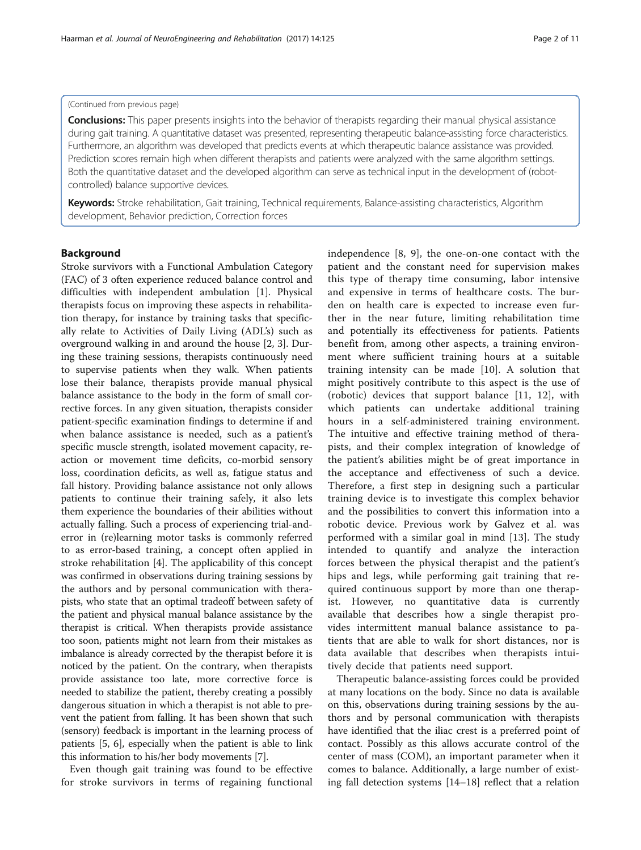## (Continued from previous page)

Conclusions: This paper presents insights into the behavior of therapists regarding their manual physical assistance during gait training. A quantitative dataset was presented, representing therapeutic balance-assisting force characteristics. Furthermore, an algorithm was developed that predicts events at which therapeutic balance assistance was provided. Prediction scores remain high when different therapists and patients were analyzed with the same algorithm settings. Both the quantitative dataset and the developed algorithm can serve as technical input in the development of (robotcontrolled) balance supportive devices.

Keywords: Stroke rehabilitation, Gait training, Technical requirements, Balance-assisting characteristics, Algorithm development, Behavior prediction, Correction forces

#### Background

Stroke survivors with a Functional Ambulation Category (FAC) of 3 often experience reduced balance control and difficulties with independent ambulation [\[1](#page-9-0)]. Physical therapists focus on improving these aspects in rehabilitation therapy, for instance by training tasks that specifically relate to Activities of Daily Living (ADL's) such as overground walking in and around the house [[2, 3\]](#page-9-0). During these training sessions, therapists continuously need to supervise patients when they walk. When patients lose their balance, therapists provide manual physical balance assistance to the body in the form of small corrective forces. In any given situation, therapists consider patient-specific examination findings to determine if and when balance assistance is needed, such as a patient's specific muscle strength, isolated movement capacity, reaction or movement time deficits, co-morbid sensory loss, coordination deficits, as well as, fatigue status and fall history. Providing balance assistance not only allows patients to continue their training safely, it also lets them experience the boundaries of their abilities without actually falling. Such a process of experiencing trial-anderror in (re)learning motor tasks is commonly referred to as error-based training, a concept often applied in stroke rehabilitation [\[4](#page-9-0)]. The applicability of this concept was confirmed in observations during training sessions by the authors and by personal communication with therapists, who state that an optimal tradeoff between safety of the patient and physical manual balance assistance by the therapist is critical. When therapists provide assistance too soon, patients might not learn from their mistakes as imbalance is already corrected by the therapist before it is noticed by the patient. On the contrary, when therapists provide assistance too late, more corrective force is needed to stabilize the patient, thereby creating a possibly dangerous situation in which a therapist is not able to prevent the patient from falling. It has been shown that such (sensory) feedback is important in the learning process of patients [\[5, 6](#page-9-0)], especially when the patient is able to link this information to his/her body movements [[7](#page-9-0)].

Even though gait training was found to be effective for stroke survivors in terms of regaining functional independence [[8](#page-9-0), [9\]](#page-9-0), the one-on-one contact with the patient and the constant need for supervision makes this type of therapy time consuming, labor intensive and expensive in terms of healthcare costs. The burden on health care is expected to increase even further in the near future, limiting rehabilitation time and potentially its effectiveness for patients. Patients benefit from, among other aspects, a training environment where sufficient training hours at a suitable training intensity can be made [[10\]](#page-9-0). A solution that might positively contribute to this aspect is the use of (robotic) devices that support balance [[11, 12](#page-9-0)], with which patients can undertake additional training hours in a self-administered training environment. The intuitive and effective training method of therapists, and their complex integration of knowledge of the patient's abilities might be of great importance in the acceptance and effectiveness of such a device. Therefore, a first step in designing such a particular training device is to investigate this complex behavior and the possibilities to convert this information into a robotic device. Previous work by Galvez et al. was performed with a similar goal in mind [[13\]](#page-9-0). The study intended to quantify and analyze the interaction forces between the physical therapist and the patient's hips and legs, while performing gait training that required continuous support by more than one therapist. However, no quantitative data is currently available that describes how a single therapist provides intermittent manual balance assistance to patients that are able to walk for short distances, nor is data available that describes when therapists intuitively decide that patients need support.

Therapeutic balance-assisting forces could be provided at many locations on the body. Since no data is available on this, observations during training sessions by the authors and by personal communication with therapists have identified that the iliac crest is a preferred point of contact. Possibly as this allows accurate control of the center of mass (COM), an important parameter when it comes to balance. Additionally, a large number of existing fall detection systems [\[14](#page-9-0)–[18](#page-10-0)] reflect that a relation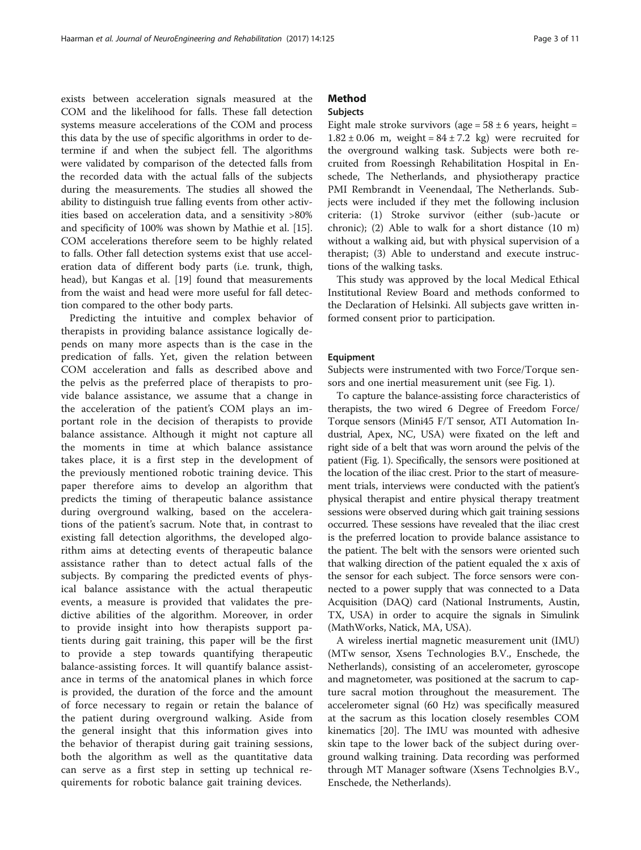exists between acceleration signals measured at the COM and the likelihood for falls. These fall detection systems measure accelerations of the COM and process this data by the use of specific algorithms in order to determine if and when the subject fell. The algorithms were validated by comparison of the detected falls from the recorded data with the actual falls of the subjects during the measurements. The studies all showed the ability to distinguish true falling events from other activities based on acceleration data, and a sensitivity >80% and specificity of 100% was shown by Mathie et al. [\[15](#page-10-0)]. COM accelerations therefore seem to be highly related to falls. Other fall detection systems exist that use acceleration data of different body parts (i.e. trunk, thigh, head), but Kangas et al. [\[19](#page-10-0)] found that measurements from the waist and head were more useful for fall detection compared to the other body parts.

Predicting the intuitive and complex behavior of therapists in providing balance assistance logically depends on many more aspects than is the case in the predication of falls. Yet, given the relation between COM acceleration and falls as described above and the pelvis as the preferred place of therapists to provide balance assistance, we assume that a change in the acceleration of the patient's COM plays an important role in the decision of therapists to provide balance assistance. Although it might not capture all the moments in time at which balance assistance takes place, it is a first step in the development of the previously mentioned robotic training device. This paper therefore aims to develop an algorithm that predicts the timing of therapeutic balance assistance during overground walking, based on the accelerations of the patient's sacrum. Note that, in contrast to existing fall detection algorithms, the developed algorithm aims at detecting events of therapeutic balance assistance rather than to detect actual falls of the subjects. By comparing the predicted events of physical balance assistance with the actual therapeutic events, a measure is provided that validates the predictive abilities of the algorithm. Moreover, in order to provide insight into how therapists support patients during gait training, this paper will be the first to provide a step towards quantifying therapeutic balance-assisting forces. It will quantify balance assistance in terms of the anatomical planes in which force is provided, the duration of the force and the amount of force necessary to regain or retain the balance of the patient during overground walking. Aside from the general insight that this information gives into the behavior of therapist during gait training sessions, both the algorithm as well as the quantitative data can serve as a first step in setting up technical requirements for robotic balance gait training devices.

## Method

#### Subjects

Eight male stroke survivors (age =  $58 \pm 6$  years, height =  $1.82 \pm 0.06$  m, weight =  $84 \pm 7.2$  kg) were recruited for the overground walking task. Subjects were both recruited from Roessingh Rehabilitation Hospital in Enschede, The Netherlands, and physiotherapy practice PMI Rembrandt in Veenendaal, The Netherlands. Subjects were included if they met the following inclusion criteria: (1) Stroke survivor (either (sub-)acute or chronic); (2) Able to walk for a short distance (10 m) without a walking aid, but with physical supervision of a therapist; (3) Able to understand and execute instructions of the walking tasks.

This study was approved by the local Medical Ethical Institutional Review Board and methods conformed to the Declaration of Helsinki. All subjects gave written informed consent prior to participation.

#### Equipment

Subjects were instrumented with two Force/Torque sensors and one inertial measurement unit (see Fig. [1](#page-3-0)).

To capture the balance-assisting force characteristics of therapists, the two wired 6 Degree of Freedom Force/ Torque sensors (Mini45 F/T sensor, ATI Automation Industrial, Apex, NC, USA) were fixated on the left and right side of a belt that was worn around the pelvis of the patient (Fig. [1](#page-3-0)). Specifically, the sensors were positioned at the location of the iliac crest. Prior to the start of measurement trials, interviews were conducted with the patient's physical therapist and entire physical therapy treatment sessions were observed during which gait training sessions occurred. These sessions have revealed that the iliac crest is the preferred location to provide balance assistance to the patient. The belt with the sensors were oriented such that walking direction of the patient equaled the x axis of the sensor for each subject. The force sensors were connected to a power supply that was connected to a Data Acquisition (DAQ) card (National Instruments, Austin, TX, USA) in order to acquire the signals in Simulink (MathWorks, Natick, MA, USA).

A wireless inertial magnetic measurement unit (IMU) (MTw sensor, Xsens Technologies B.V., Enschede, the Netherlands), consisting of an accelerometer, gyroscope and magnetometer, was positioned at the sacrum to capture sacral motion throughout the measurement. The accelerometer signal (60 Hz) was specifically measured at the sacrum as this location closely resembles COM kinematics [\[20\]](#page-10-0). The IMU was mounted with adhesive skin tape to the lower back of the subject during overground walking training. Data recording was performed through MT Manager software (Xsens Technolgies B.V., Enschede, the Netherlands).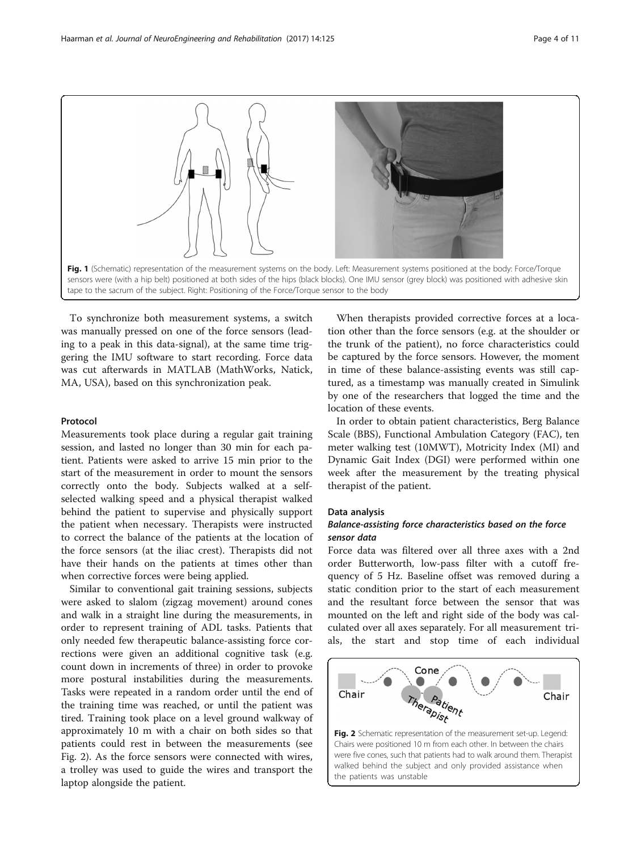<span id="page-3-0"></span>

To synchronize both measurement systems, a switch was manually pressed on one of the force sensors (leading to a peak in this data-signal), at the same time triggering the IMU software to start recording. Force data was cut afterwards in MATLAB (MathWorks, Natick, MA, USA), based on this synchronization peak.

## Protocol

Measurements took place during a regular gait training session, and lasted no longer than 30 min for each patient. Patients were asked to arrive 15 min prior to the start of the measurement in order to mount the sensors correctly onto the body. Subjects walked at a selfselected walking speed and a physical therapist walked behind the patient to supervise and physically support the patient when necessary. Therapists were instructed to correct the balance of the patients at the location of the force sensors (at the iliac crest). Therapists did not have their hands on the patients at times other than when corrective forces were being applied.

Similar to conventional gait training sessions, subjects were asked to slalom (zigzag movement) around cones and walk in a straight line during the measurements, in order to represent training of ADL tasks. Patients that only needed few therapeutic balance-assisting force corrections were given an additional cognitive task (e.g. count down in increments of three) in order to provoke more postural instabilities during the measurements. Tasks were repeated in a random order until the end of the training time was reached, or until the patient was tired. Training took place on a level ground walkway of approximately 10 m with a chair on both sides so that patients could rest in between the measurements (see Fig. 2). As the force sensors were connected with wires, a trolley was used to guide the wires and transport the laptop alongside the patient.

When therapists provided corrective forces at a location other than the force sensors (e.g. at the shoulder or the trunk of the patient), no force characteristics could be captured by the force sensors. However, the moment in time of these balance-assisting events was still captured, as a timestamp was manually created in Simulink by one of the researchers that logged the time and the location of these events.

In order to obtain patient characteristics, Berg Balance Scale (BBS), Functional Ambulation Category (FAC), ten meter walking test (10MWT), Motricity Index (MI) and Dynamic Gait Index (DGI) were performed within one week after the measurement by the treating physical therapist of the patient.

#### Data analysis

## Balance-assisting force characteristics based on the force sensor data

Force data was filtered over all three axes with a 2nd order Butterworth, low-pass filter with a cutoff frequency of 5 Hz. Baseline offset was removed during a static condition prior to the start of each measurement and the resultant force between the sensor that was mounted on the left and right side of the body was calculated over all axes separately. For all measurement trials, the start and stop time of each individual

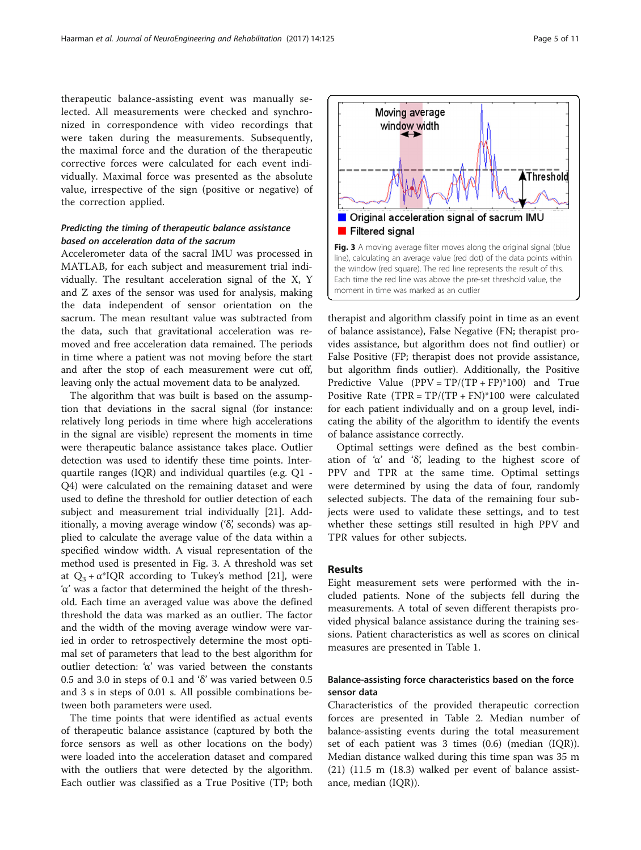therapeutic balance-assisting event was manually selected. All measurements were checked and synchronized in correspondence with video recordings that were taken during the measurements. Subsequently, the maximal force and the duration of the therapeutic corrective forces were calculated for each event individually. Maximal force was presented as the absolute value, irrespective of the sign (positive or negative) of the correction applied.

## Predicting the timing of therapeutic balance assistance based on acceleration data of the sacrum

Accelerometer data of the sacral IMU was processed in MATLAB, for each subject and measurement trial individually. The resultant acceleration signal of the X, Y and Z axes of the sensor was used for analysis, making the data independent of sensor orientation on the sacrum. The mean resultant value was subtracted from the data, such that gravitational acceleration was removed and free acceleration data remained. The periods in time where a patient was not moving before the start and after the stop of each measurement were cut off, leaving only the actual movement data to be analyzed.

The algorithm that was built is based on the assumption that deviations in the sacral signal (for instance: relatively long periods in time where high accelerations in the signal are visible) represent the moments in time were therapeutic balance assistance takes place. Outlier detection was used to identify these time points. Interquartile ranges (IQR) and individual quartiles (e.g. Q1 - Q4) were calculated on the remaining dataset and were used to define the threshold for outlier detection of each subject and measurement trial individually [\[21\]](#page-10-0). Additionally, a moving average window ('δ', seconds) was applied to calculate the average value of the data within a specified window width. A visual representation of the method used is presented in Fig. 3. A threshold was set at  $Q_3 + \alpha^* IQR$  according to Tukey's method [[21](#page-10-0)], were 'α' was a factor that determined the height of the threshold. Each time an averaged value was above the defined threshold the data was marked as an outlier. The factor and the width of the moving average window were varied in order to retrospectively determine the most optimal set of parameters that lead to the best algorithm for outlier detection: 'α' was varied between the constants 0.5 and 3.0 in steps of 0.1 and 'δ' was varied between 0.5 and 3 s in steps of 0.01 s. All possible combinations between both parameters were used.

The time points that were identified as actual events of therapeutic balance assistance (captured by both the force sensors as well as other locations on the body) were loaded into the acceleration dataset and compared with the outliers that were detected by the algorithm. Each outlier was classified as a True Positive (TP; both



therapist and algorithm classify point in time as an event of balance assistance), False Negative (FN; therapist provides assistance, but algorithm does not find outlier) or False Positive (FP; therapist does not provide assistance, but algorithm finds outlier). Additionally, the Positive Predictive Value  $(PPV = TP/(TP + FP)^*100)$  and True Positive Rate (TPR = TP/(TP + FN)\*100 were calculated for each patient individually and on a group level, indicating the ability of the algorithm to identify the events of balance assistance correctly.

Optimal settings were defined as the best combination of 'α' and 'δ', leading to the highest score of PPV and TPR at the same time. Optimal settings were determined by using the data of four, randomly selected subjects. The data of the remaining four subjects were used to validate these settings, and to test whether these settings still resulted in high PPV and TPR values for other subjects.

## Results

Eight measurement sets were performed with the included patients. None of the subjects fell during the measurements. A total of seven different therapists provided physical balance assistance during the training sessions. Patient characteristics as well as scores on clinical measures are presented in Table [1.](#page-5-0)

## Balance-assisting force characteristics based on the force sensor data

Characteristics of the provided therapeutic correction forces are presented in Table [2.](#page-5-0) Median number of balance-assisting events during the total measurement set of each patient was 3 times (0.6) (median (IQR)). Median distance walked during this time span was 35 m (21) (11.5 m (18.3) walked per event of balance assistance, median (IQR)).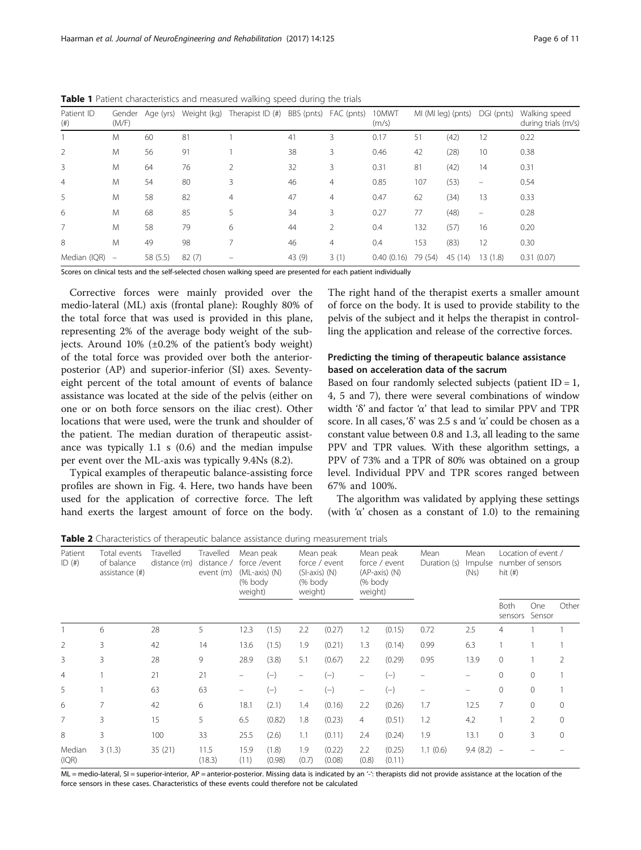| Patient ID<br>(# ) | Gender<br>(M/F)          | Age (yrs) | Weight (kg) | Therapist $ID$ (#) | BBS (pnts) | FAC (pnts)     | 10MWT<br>(m/s) |         | MI (MI leg) (pnts) | DGI (pnts)        | Walking speed<br>during trials (m/s) |
|--------------------|--------------------------|-----------|-------------|--------------------|------------|----------------|----------------|---------|--------------------|-------------------|--------------------------------------|
|                    | M                        | 60        | 81          |                    | 41         | 3              | 0.17           | 51      | (42)               | 12                | 0.22                                 |
| $\overline{2}$     | M                        | 56        | 91          |                    | 38         | 3              | 0.46           | 42      | (28)               | 10                | 0.38                                 |
| 3                  | M                        | 64        | 76          | $\overline{2}$     | 32         | 3              | 0.31           | 81      | (42)               | 14                | 0.31                                 |
| $\overline{4}$     | M                        | 54        | 80          | 3                  | 46         | $\overline{4}$ | 0.85           | 107     | (53)               | $\qquad \qquad -$ | 0.54                                 |
| 5                  | M                        | 58        | 82          | $\overline{4}$     | 47         | $\overline{4}$ | 0.47           | 62      | (34)               | 13                | 0.33                                 |
| 6                  | M                        | 68        | 85          | 5                  | 34         | 3              | 0.27           | 77      | (48)               | $\qquad \qquad -$ | 0.28                                 |
| $\overline{7}$     | M                        | 58        | 79          | 6                  | 44         | $\overline{2}$ | 0.4            | 132     | (57)               | 16                | 0.20                                 |
| 8                  | M                        | 49        | 98          | $\overline{7}$     | 46         | $\overline{4}$ | 0.4            | 153     | (83)               | 12                | 0.30                                 |
| Median (IQR)       | $\overline{\phantom{m}}$ | 58 (5.5)  | 82(7)       |                    | 43 (9)     | 3(1)           | 0.40(0.16)     | 79 (54) | 45 (14)            | 13(1.8)           | 0.31(0.07)                           |

<span id="page-5-0"></span>Table 1 Patient characteristics and measured walking speed during the trials

Scores on clinical tests and the self-selected chosen walking speed are presented for each patient individually

Corrective forces were mainly provided over the medio-lateral (ML) axis (frontal plane): Roughly 80% of the total force that was used is provided in this plane, representing 2% of the average body weight of the subjects. Around 10% (±0.2% of the patient's body weight) of the total force was provided over both the anteriorposterior (AP) and superior-inferior (SI) axes. Seventyeight percent of the total amount of events of balance assistance was located at the side of the pelvis (either on one or on both force sensors on the iliac crest). Other locations that were used, were the trunk and shoulder of the patient. The median duration of therapeutic assistance was typically 1.1 s (0.6) and the median impulse per event over the ML-axis was typically 9.4Ns (8.2).

Typical examples of therapeutic balance-assisting force profiles are shown in Fig. [4](#page-6-0). Here, two hands have been used for the application of corrective force. The left hand exerts the largest amount of force on the body.

The right hand of the therapist exerts a smaller amount of force on the body. It is used to provide stability to the pelvis of the subject and it helps the therapist in controlling the application and release of the corrective forces.

## Predicting the timing of therapeutic balance assistance based on acceleration data of the sacrum

Based on four randomly selected subjects (patient  $ID = 1$ , 4, 5 and 7), there were several combinations of window width 'δ' and factor 'α' that lead to similar PPV and TPR score. In all cases, 'δ' was 2.5 s and 'α' could be chosen as a constant value between 0.8 and 1.3, all leading to the same PPV and TPR values. With these algorithm settings, a PPV of 73% and a TPR of 80% was obtained on a group level. Individual PPV and TPR scores ranged between 67% and 100%.

The algorithm was validated by applying these settings (with 'α' chosen as a constant of 1.0) to the remaining

| Patient<br>ID(#) | Total events<br>of balance<br>assistance $(\#)$ | Travelled<br>distance (m) | Travelled<br>distance<br>event (m) | Mean peak<br>force /event<br>$(ML-axis)$ $(N)$<br>(% body<br>weight) |                 | Mean peak<br>force / event<br>$(SI-axis)$ $(N)$<br>(% body<br>weight) |                  | Mean peak<br>force / event<br>$(AP-axis)$ $(N)$<br>(% body<br>weight) |                  | Mean<br>Duration (s)           | Mean<br>Impulse<br>(Ns) | Location of event /<br>number of sensors<br>hit $(\#)$ |               |              |
|------------------|-------------------------------------------------|---------------------------|------------------------------------|----------------------------------------------------------------------|-----------------|-----------------------------------------------------------------------|------------------|-----------------------------------------------------------------------|------------------|--------------------------------|-------------------------|--------------------------------------------------------|---------------|--------------|
|                  |                                                 |                           |                                    |                                                                      |                 |                                                                       |                  |                                                                       |                  |                                |                         | Both<br>sensors                                        | One<br>Sensor | Other        |
|                  | 6                                               | 28                        | 5                                  | 12.3                                                                 | (1.5)           | 2.2                                                                   | (0.27)           | 1.2                                                                   | (0.15)           | 0.72                           | 2.5                     | $\overline{4}$                                         |               |              |
| $\overline{2}$   | 3                                               | 42                        | 14                                 | 13.6                                                                 | (1.5)           | 1.9                                                                   | (0.21)           | 1.3                                                                   | (0.14)           | 0.99                           | 6.3                     |                                                        |               |              |
| 3                | 3                                               | 28                        | 9                                  | 28.9                                                                 | (3.8)           | 5.1                                                                   | (0.67)           | 2.2                                                                   | (0.29)           | 0.95                           | 13.9                    | $\Omega$                                               |               | 2            |
| $\overline{4}$   |                                                 | 21                        | 21                                 | -                                                                    | $(-)$           | $\overline{\phantom{m}}$                                              | $(-)$            | -                                                                     | $(-)$            | $\qquad \qquad \longleftarrow$ | -                       | $\Omega$                                               | $\mathbf{0}$  |              |
| 5                |                                                 | 63                        | 63                                 | -                                                                    | $(-)$           | $\overline{\phantom{m}}$                                              | $(-)$            | -                                                                     | $(-)$            | -                              | -                       | $\mathbf 0$                                            | 0             |              |
| 6                | 7                                               | 42                        | 6                                  | 18.1                                                                 | (2.1)           | 1.4                                                                   | (0.16)           | 2.2                                                                   | (0.26)           | 1.7                            | 12.5                    | $\overline{7}$                                         | $\mathbf{0}$  | $\mathbf{0}$ |
| $\overline{7}$   | 3                                               | 15                        | 5                                  | 6.5                                                                  | (0.82)          | 1.8                                                                   | (0.23)           | 4                                                                     | (0.51)           | 1.2                            | 4.2                     |                                                        | 2             | 0            |
| 8                | 3                                               | 100                       | 33                                 | 25.5                                                                 | (2.6)           | 1.1                                                                   | (0.11)           | 2.4                                                                   | (0.24)           | 1.9                            | 13.1                    | $\Omega$                                               | 3             | $\circ$      |
| Median<br>(IQR)  | 3(1.3)                                          | 35(21)                    | 11.5<br>(18.3)                     | 15.9<br>(11)                                                         | (1.8)<br>(0.98) | 1.9<br>(0.7)                                                          | (0.22)<br>(0.08) | 2.2<br>(0.8)                                                          | (0.25)<br>(0.11) | 1.1(0.6)                       | 9.4(8.2)                | $\overline{\phantom{m}}$                               |               |              |

**Table 2** Characteristics of therapeutic balance assistance during measurement trials

 $ML =$  medio-lateral, SI = superior-interior, AP = anterior-posterior. Missing data is indicated by an '-': therapists did not provide assistance at the location of the force sensors in these cases. Characteristics of these events could therefore not be calculated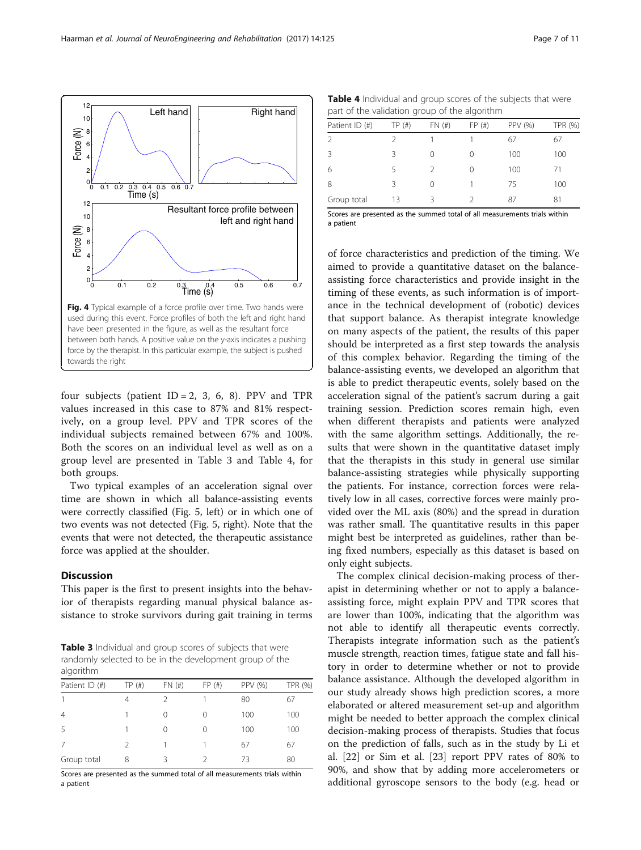<span id="page-6-0"></span>

four subjects (patient  $ID = 2, 3, 6, 8$ ). PPV and TPR values increased in this case to 87% and 81% respectively, on a group level. PPV and TPR scores of the individual subjects remained between 67% and 100%. Both the scores on an individual level as well as on a group level are presented in Table 3 and Table 4, for both groups.

Two typical examples of an acceleration signal over time are shown in which all balance-assisting events were correctly classified (Fig. [5,](#page-7-0) left) or in which one of two events was not detected (Fig. [5](#page-7-0), right). Note that the events that were not detected, the therapeutic assistance force was applied at the shoulder.

## **Discussion**

This paper is the first to present insights into the behavior of therapists regarding manual physical balance assistance to stroke survivors during gait training in terms

Table 3 Individual and group scores of subjects that were randomly selected to be in the development group of the algorithm

| Patient ID (#) | TP (#) | $FN$ (#) | FP(#) | <b>PPV (%)</b> | TPR (%) |
|----------------|--------|----------|-------|----------------|---------|
|                | 4      |          |       | 80             | 67      |
| $\overline{4}$ |        | 0        |       | 100            | 100     |
| -5             |        | 0        | 0     | 100            | 100     |
| 7              |        |          |       | 67             | 67      |
| Group total    | 8      | 3        |       | 73             | 80      |
|                |        |          |       |                |         |

Scores are presented as the summed total of all measurements trials within a patient

Table 4 Individual and group scores of the subjects that were part of the validation group of the algorithm

|                | .<br>$\overline{\phantom{a}}$ | .        | .     |         |         |
|----------------|-------------------------------|----------|-------|---------|---------|
| Patient ID (#) | TP(#)                         | $FN$ (#) | FP(#) | PPV (%) | TPR (%) |
| 2              |                               |          |       | 67      | 67      |
| 3              | ζ                             | 0        | 0     | 100     | 100     |
| 6              |                               |          |       | 100     | 71      |
| 8              | R                             | ∩        |       | 75      | 100     |
| Group total    | 13                            | ર        |       | 87      | 81      |

Scores are presented as the summed total of all measurements trials within a patient

of force characteristics and prediction of the timing. We aimed to provide a quantitative dataset on the balanceassisting force characteristics and provide insight in the timing of these events, as such information is of importance in the technical development of (robotic) devices that support balance. As therapist integrate knowledge on many aspects of the patient, the results of this paper should be interpreted as a first step towards the analysis of this complex behavior. Regarding the timing of the balance-assisting events, we developed an algorithm that is able to predict therapeutic events, solely based on the acceleration signal of the patient's sacrum during a gait training session. Prediction scores remain high, even when different therapists and patients were analyzed with the same algorithm settings. Additionally, the results that were shown in the quantitative dataset imply that the therapists in this study in general use similar balance-assisting strategies while physically supporting the patients. For instance, correction forces were relatively low in all cases, corrective forces were mainly provided over the ML axis (80%) and the spread in duration was rather small. The quantitative results in this paper might best be interpreted as guidelines, rather than being fixed numbers, especially as this dataset is based on only eight subjects.

The complex clinical decision-making process of therapist in determining whether or not to apply a balanceassisting force, might explain PPV and TPR scores that are lower than 100%, indicating that the algorithm was not able to identify all therapeutic events correctly. Therapists integrate information such as the patient's muscle strength, reaction times, fatigue state and fall history in order to determine whether or not to provide balance assistance. Although the developed algorithm in our study already shows high prediction scores, a more elaborated or altered measurement set-up and algorithm might be needed to better approach the complex clinical decision-making process of therapists. Studies that focus on the prediction of falls, such as in the study by Li et al. [[22](#page-10-0)] or Sim et al. [\[23](#page-10-0)] report PPV rates of 80% to 90%, and show that by adding more accelerometers or additional gyroscope sensors to the body (e.g. head or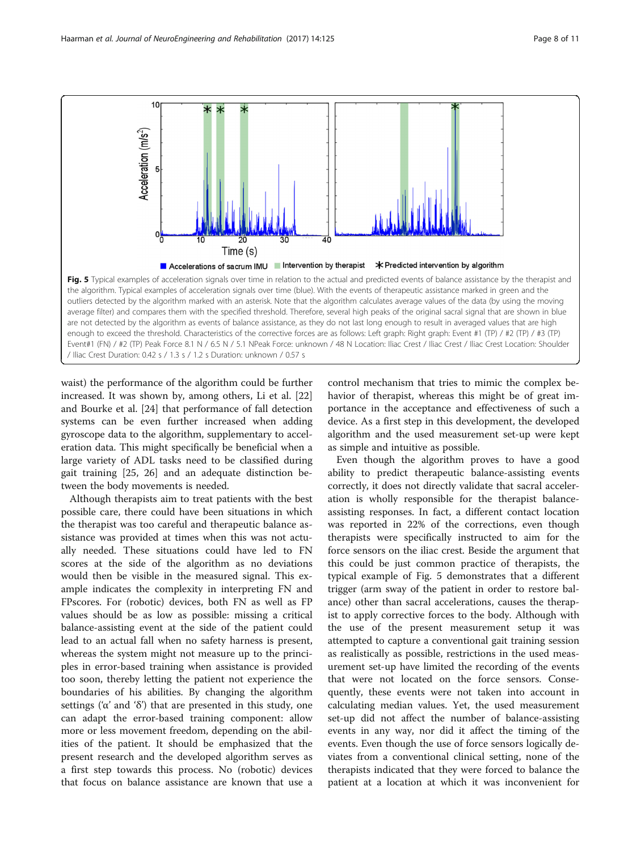<span id="page-7-0"></span>

waist) the performance of the algorithm could be further increased. It was shown by, among others, Li et al. [[22](#page-10-0)] and Bourke et al. [\[24](#page-10-0)] that performance of fall detection systems can be even further increased when adding gyroscope data to the algorithm, supplementary to acceleration data. This might specifically be beneficial when a large variety of ADL tasks need to be classified during gait training [[25, 26\]](#page-10-0) and an adequate distinction between the body movements is needed.

Although therapists aim to treat patients with the best possible care, there could have been situations in which the therapist was too careful and therapeutic balance assistance was provided at times when this was not actually needed. These situations could have led to FN scores at the side of the algorithm as no deviations would then be visible in the measured signal. This example indicates the complexity in interpreting FN and FPscores. For (robotic) devices, both FN as well as FP values should be as low as possible: missing a critical balance-assisting event at the side of the patient could lead to an actual fall when no safety harness is present, whereas the system might not measure up to the principles in error-based training when assistance is provided too soon, thereby letting the patient not experience the boundaries of his abilities. By changing the algorithm settings ( $\alpha$ ' and  $\delta$ ') that are presented in this study, one can adapt the error-based training component: allow more or less movement freedom, depending on the abilities of the patient. It should be emphasized that the present research and the developed algorithm serves as a first step towards this process. No (robotic) devices that focus on balance assistance are known that use a

control mechanism that tries to mimic the complex behavior of therapist, whereas this might be of great importance in the acceptance and effectiveness of such a device. As a first step in this development, the developed algorithm and the used measurement set-up were kept as simple and intuitive as possible.

Even though the algorithm proves to have a good ability to predict therapeutic balance-assisting events correctly, it does not directly validate that sacral acceleration is wholly responsible for the therapist balanceassisting responses. In fact, a different contact location was reported in 22% of the corrections, even though therapists were specifically instructed to aim for the force sensors on the iliac crest. Beside the argument that this could be just common practice of therapists, the typical example of Fig. 5 demonstrates that a different trigger (arm sway of the patient in order to restore balance) other than sacral accelerations, causes the therapist to apply corrective forces to the body. Although with the use of the present measurement setup it was attempted to capture a conventional gait training session as realistically as possible, restrictions in the used measurement set-up have limited the recording of the events that were not located on the force sensors. Consequently, these events were not taken into account in calculating median values. Yet, the used measurement set-up did not affect the number of balance-assisting events in any way, nor did it affect the timing of the events. Even though the use of force sensors logically deviates from a conventional clinical setting, none of the therapists indicated that they were forced to balance the patient at a location at which it was inconvenient for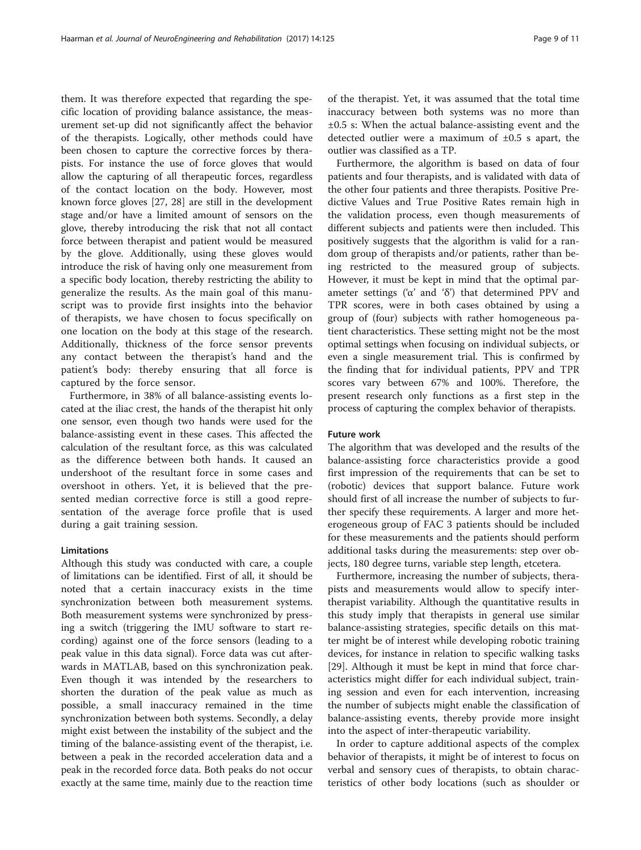them. It was therefore expected that regarding the specific location of providing balance assistance, the measurement set-up did not significantly affect the behavior of the therapists. Logically, other methods could have been chosen to capture the corrective forces by therapists. For instance the use of force gloves that would allow the capturing of all therapeutic forces, regardless of the contact location on the body. However, most known force gloves [[27, 28](#page-10-0)] are still in the development stage and/or have a limited amount of sensors on the glove, thereby introducing the risk that not all contact force between therapist and patient would be measured by the glove. Additionally, using these gloves would introduce the risk of having only one measurement from a specific body location, thereby restricting the ability to generalize the results. As the main goal of this manuscript was to provide first insights into the behavior of therapists, we have chosen to focus specifically on one location on the body at this stage of the research. Additionally, thickness of the force sensor prevents any contact between the therapist's hand and the patient's body: thereby ensuring that all force is captured by the force sensor.

Furthermore, in 38% of all balance-assisting events located at the iliac crest, the hands of the therapist hit only one sensor, even though two hands were used for the balance-assisting event in these cases. This affected the calculation of the resultant force, as this was calculated as the difference between both hands. It caused an undershoot of the resultant force in some cases and overshoot in others. Yet, it is believed that the presented median corrective force is still a good representation of the average force profile that is used during a gait training session.

## Limitations

Although this study was conducted with care, a couple of limitations can be identified. First of all, it should be noted that a certain inaccuracy exists in the time synchronization between both measurement systems. Both measurement systems were synchronized by pressing a switch (triggering the IMU software to start recording) against one of the force sensors (leading to a peak value in this data signal). Force data was cut afterwards in MATLAB, based on this synchronization peak. Even though it was intended by the researchers to shorten the duration of the peak value as much as possible, a small inaccuracy remained in the time synchronization between both systems. Secondly, a delay might exist between the instability of the subject and the timing of the balance-assisting event of the therapist, i.e. between a peak in the recorded acceleration data and a peak in the recorded force data. Both peaks do not occur exactly at the same time, mainly due to the reaction time

of the therapist. Yet, it was assumed that the total time inaccuracy between both systems was no more than ±0.5 s: When the actual balance-assisting event and the detected outlier were a maximum of  $\pm 0.5$  s apart, the outlier was classified as a TP.

Furthermore, the algorithm is based on data of four patients and four therapists, and is validated with data of the other four patients and three therapists. Positive Predictive Values and True Positive Rates remain high in the validation process, even though measurements of different subjects and patients were then included. This positively suggests that the algorithm is valid for a random group of therapists and/or patients, rather than being restricted to the measured group of subjects. However, it must be kept in mind that the optimal parameter settings ('α' and 'δ') that determined PPV and TPR scores, were in both cases obtained by using a group of (four) subjects with rather homogeneous patient characteristics. These setting might not be the most optimal settings when focusing on individual subjects, or even a single measurement trial. This is confirmed by the finding that for individual patients, PPV and TPR scores vary between 67% and 100%. Therefore, the present research only functions as a first step in the process of capturing the complex behavior of therapists.

## Future work

The algorithm that was developed and the results of the balance-assisting force characteristics provide a good first impression of the requirements that can be set to (robotic) devices that support balance. Future work should first of all increase the number of subjects to further specify these requirements. A larger and more heterogeneous group of FAC 3 patients should be included for these measurements and the patients should perform additional tasks during the measurements: step over objects, 180 degree turns, variable step length, etcetera.

Furthermore, increasing the number of subjects, therapists and measurements would allow to specify intertherapist variability. Although the quantitative results in this study imply that therapists in general use similar balance-assisting strategies, specific details on this matter might be of interest while developing robotic training devices, for instance in relation to specific walking tasks [[29\]](#page-10-0). Although it must be kept in mind that force characteristics might differ for each individual subject, training session and even for each intervention, increasing the number of subjects might enable the classification of balance-assisting events, thereby provide more insight into the aspect of inter-therapeutic variability.

In order to capture additional aspects of the complex behavior of therapists, it might be of interest to focus on verbal and sensory cues of therapists, to obtain characteristics of other body locations (such as shoulder or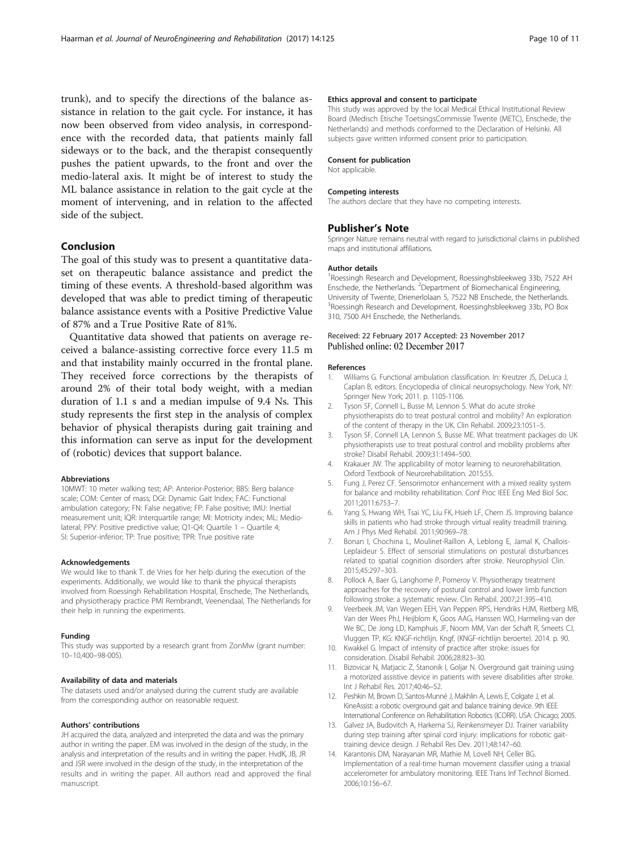<span id="page-9-0"></span>trunk), and to specify the directions of the balance assistance in relation to the gait cycle. For instance, it has now been observed from video analysis, in correspondence with the recorded data, that patients mainly fall sideways or to the back, and the therapist consequently pushes the patient upwards, to the front and over the medio-lateral axis. It might be of interest to study the ML balance assistance in relation to the gait cycle at the moment of intervening, and in relation to the affected side of the subject.

## Conclusion

The goal of this study was to present a quantitative dataset on therapeutic balance assistance and predict the timing of these events. A threshold-based algorithm was developed that was able to predict timing of therapeutic balance assistance events with a Positive Predictive Value of 87% and a True Positive Rate of 81%.

Quantitative data showed that patients on average received a balance-assisting corrective force every 11.5 m and that instability mainly occurred in the frontal plane. They received force corrections by the therapists of around 2% of their total body weight, with a median duration of 1.1 s and a median impulse of 9.4 Ns. This study represents the first step in the analysis of complex behavior of physical therapists during gait training and this information can serve as input for the development of (robotic) devices that support balance.

#### Abbreviations

10MWT: 10 meter walking test; AP: Anterior-Posterior; BBS: Berg balance scale; COM: Center of mass; DGI: Dynamic Gait Index; FAC: Functional ambulation category; FN: False negative; FP: False positive; IMU: Inertial measurement unit; IQR: Interquartile range; MI: Motricity index; ML: Mediolateral; PPV: Positive predictive value; Q1-Q4: Quartile 1 – Quartile 4; SI: Superior-inferior; TP: True positive; TPR: True positive rate

#### Acknowledgements

We would like to thank T. de Vries for her help during the execution of the experiments. Additionally, we would like to thank the physical therapists involved from Roessingh Rehabilitation Hospital, Enschede, The Netherlands, and physiotherapy practice PMI Rembrandt, Veenendaal, The Netherlands for their help in running the experiments.

#### Funding

This study was supported by a research grant from ZonMw (grant number: 10–10,400–98-005).

#### Availability of data and materials

The datasets used and/or analysed during the current study are available from the corresponding author on reasonable request.

#### Authors' contributions

JH acquired the data, analyzed and interpreted the data and was the primary author in writing the paper. EM was involved in the design of the study, in the analysis and interpretation of the results and in writing the paper. HvdK, JB, JR and JSR were involved in the design of the study, in the interpretation of the results and in writing the paper. All authors read and approved the final manuscript.

#### Ethics approval and consent to participate

This study was approved by the local Medical Ethical Institutional Review Board (Medisch Etische ToetsingsCommissie Twente (METC), Enschede, the Netherlands) and methods conformed to the Declaration of Helsinki. All subjects gave written informed consent prior to participation.

#### Consent for publication

Not applicable.

#### Competing interests

The authors declare that they have no competing interests.

#### Publisher's Note

Springer Nature remains neutral with regard to jurisdictional claims in published maps and institutional affiliations.

#### Author details

<sup>1</sup>Roessingh Research and Development, Roessinghsbleekweg 33b, 7522 AH Enschede, the Netherlands. <sup>2</sup>Department of Biomechanical Engineering University of Twente, Drienerlolaan 5, 7522 NB Enschede, the Netherlands. <sup>3</sup>Roessingh Research and Development, Roessinghsbleekweg 33b, PO Box 310, 7500 AH Enschede, the Netherlands.

### Received: 22 February 2017 Accepted: 23 November 2017 Published online: 02 December 2017

#### References

- 1. Williams G. Functional ambulation classification. In: Kreutzer JS, DeLuca J, Caplan B, editors. Encyclopedia of clinical neuropsychology. New York, NY: Springer New York; 2011. p. 1105-1106.
- 2. Tyson SF, Connell L, Busse M, Lennon S. What do acute stroke physiotherapists do to treat postural control and mobility? An exploration of the content of therapy in the UK. Clin Rehabil. 2009;23:1051–5.
- 3. Tyson SF, Connell LA, Lennon S, Busse ME. What treatment packages do UK physiotherapists use to treat postural control and mobility problems after stroke? Disabil Rehabil. 2009;31:1494–500.
- 4. Krakauer JW. The applicability of motor learning to neurorehabilitation. Oxford Textbook of Neurorehabilitation. 2015;55.
- 5. Fung J, Perez CF. Sensorimotor enhancement with a mixed reality system for balance and mobility rehabilitation. Conf Proc IEEE Eng Med Biol Soc. 2011;2011:6753–7.
- 6. Yang S, Hwang WH, Tsai YC, Liu FK, Hsieh LF, Chern JS. Improving balance skills in patients who had stroke through virtual reality treadmill training. Am J Phys Med Rehabil. 2011;90:969–78.
- 7. Bonan I, Chochina L, Moulinet-Raillon A, Leblong E, Jamal K, Challois-Leplaideur S. Effect of sensorial stimulations on postural disturbances related to spatial cognition disorders after stroke. Neurophysiol Clin. 2015;45:297–303.
- 8. Pollock A, Baer G, Langhorne P, Pomeroy V. Physiotherapy treatment approaches for the recovery of postural control and lower limb function following stroke: a systematic review. Clin Rehabil. 2007;21:395–410.
- 9. Veerbeek JM, Van Wegen EEH, Van Peppen RPS, Hendriks HJM, Rietberg MB, Van der Wees PhJ, Heijblom K, Goos AAG, Hanssen WO, Harmeling-van der We BC, De Jong LD, Kamphuis JF, Noom MM, Van der Schaft R, Smeets CJ, Vluggen TP, KG: KNGF-richtlijn. Kngf, (KNGF-richtlijn beroerte). 2014. p. 90.
- 10. Kwakkel G. Impact of intensity of practice after stroke: issues for consideration. Disabil Rehabil. 2006;28:823–30.
- 11. Bizovicar N, Matjacic Z, Stanonik I, Goljar N. Overground gait training using a motorized assistive device in patients with severe disabilities after stroke. Int J Rehabil Res. 2017;40:46–52.
- 12. Peshkin M, Brown D, Santos-Munné J, Makhlin A, Lewis E, Colgate J, et al. KineAssist: a robotic overground gait and balance training device. 9th IEEE International Conference on Rehabilitation Robotics (ICORR). USA: Chicago; 2005.
- 13. Galvez JA, Budovitch A, Harkema SJ, Reinkensmeyer DJ. Trainer variability during step training after spinal cord injury: implications for robotic gaittraining device design. J Rehabil Res Dev. 2011;48:147–60.
- 14. Karantonis DM, Narayanan MR, Mathie M, Lovell NH, Celler BG. Implementation of a real-time human movement classifier using a triaxial accelerometer for ambulatory monitoring. IEEE Trans Inf Technol Biomed. 2006;10:156–67.